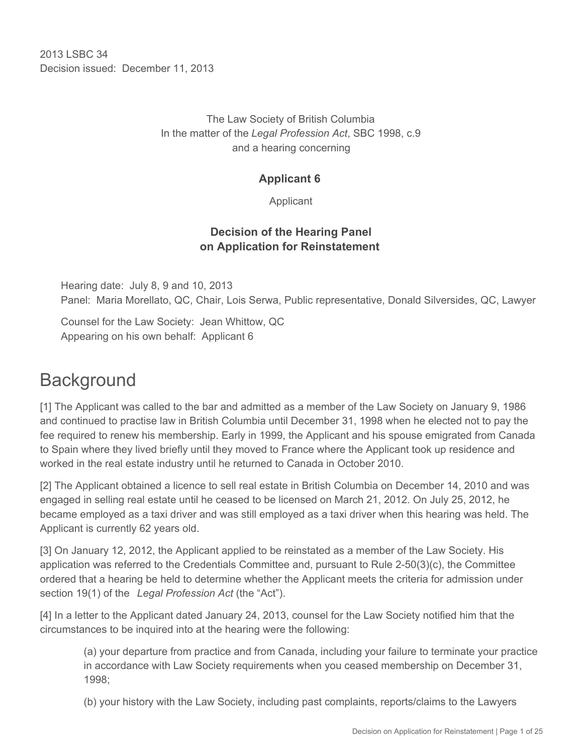2013 LSBC 34 Decision issued: December 11, 2013

> The Law Society of British Columbia In the matter of the *Legal Profession Act*, SBC 1998, c.9 and a hearing concerning

## **Applicant 6**

Applicant

# **Decision of the Hearing Panel on Application for Reinstatement**

Hearing date: July 8, 9 and 10, 2013 Panel: Maria Morellato, QC, Chair, Lois Serwa, Public representative, Donald Silversides, QC, Lawyer

Counsel for the Law Society: Jean Whittow, QC Appearing on his own behalf: Applicant 6

# **Background**

[1] The Applicant was called to the bar and admitted as a member of the Law Society on January 9, 1986 and continued to practise law in British Columbia until December 31, 1998 when he elected not to pay the fee required to renew his membership. Early in 1999, the Applicant and his spouse emigrated from Canada to Spain where they lived briefly until they moved to France where the Applicant took up residence and worked in the real estate industry until he returned to Canada in October 2010.

[2] The Applicant obtained a licence to sell real estate in British Columbia on December 14, 2010 and was engaged in selling real estate until he ceased to be licensed on March 21, 2012. On July 25, 2012, he became employed as a taxi driver and was still employed as a taxi driver when this hearing was held. The Applicant is currently 62 years old.

[3] On January 12, 2012, the Applicant applied to be reinstated as a member of the Law Society. His application was referred to the Credentials Committee and, pursuant to Rule 2-50(3)(c), the Committee ordered that a hearing be held to determine whether the Applicant meets the criteria for admission under section 19(1) of the *Legal Profession Act* (the "Act").

[4] In a letter to the Applicant dated January 24, 2013, counsel for the Law Society notified him that the circumstances to be inquired into at the hearing were the following:

(a) your departure from practice and from Canada, including your failure to terminate your practice in accordance with Law Society requirements when you ceased membership on December 31, 1998;

(b) your history with the Law Society, including past complaints, reports/claims to the Lawyers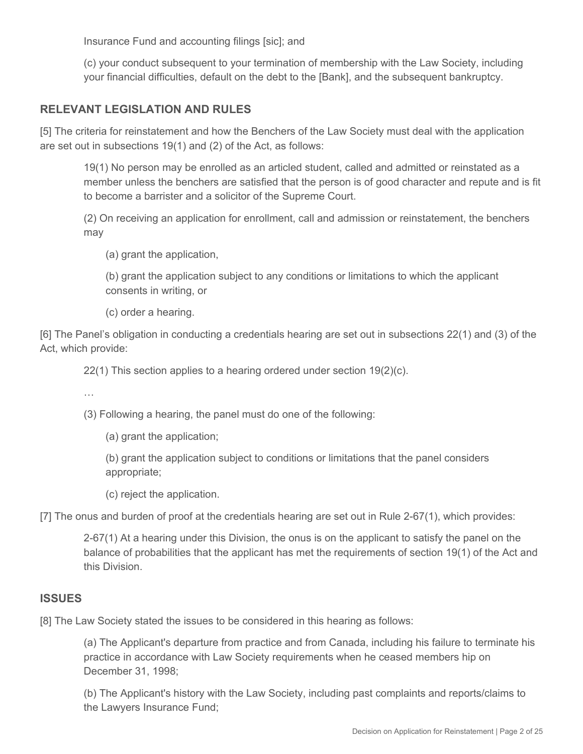Insurance Fund and accounting filings [sic]; and

(c) your conduct subsequent to your termination of membership with the Law Society, including your financial difficulties, default on the debt to the [Bank], and the subsequent bankruptcy.

# **RELEVANT LEGISLATION AND RULES**

[5] The criteria for reinstatement and how the Benchers of the Law Society must deal with the application are set out in subsections 19(1) and (2) of the Act, as follows:

19(1) No person may be enrolled as an articled student, called and admitted or reinstated as a member unless the benchers are satisfied that the person is of good character and repute and is fit to become a barrister and a solicitor of the Supreme Court.

(2) On receiving an application for enrollment, call and admission or reinstatement, the benchers may

(a) grant the application,

(b) grant the application subject to any conditions or limitations to which the applicant consents in writing, or

(c) order a hearing.

[6] The Panel's obligation in conducting a credentials hearing are set out in subsections 22(1) and (3) of the Act, which provide:

22(1) This section applies to a hearing ordered under section 19(2)(c).

…

(3) Following a hearing, the panel must do one of the following:

(a) grant the application;

(b) grant the application subject to conditions or limitations that the panel considers appropriate;

(c) reject the application.

[7] The onus and burden of proof at the credentials hearing are set out in Rule 2-67(1), which provides:

2-67(1) At a hearing under this Division, the onus is on the applicant to satisfy the panel on the balance of probabilities that the applicant has met the requirements of section 19(1) of the Act and this Division.

#### **ISSUES**

[8] The Law Society stated the issues to be considered in this hearing as follows:

(a) The Applicant's departure from practice and from Canada, including his failure to terminate his practice in accordance with Law Society requirements when he ceased members hip on December 31, 1998;

(b) The Applicant's history with the Law Society, including past complaints and reports/claims to the Lawyers Insurance Fund;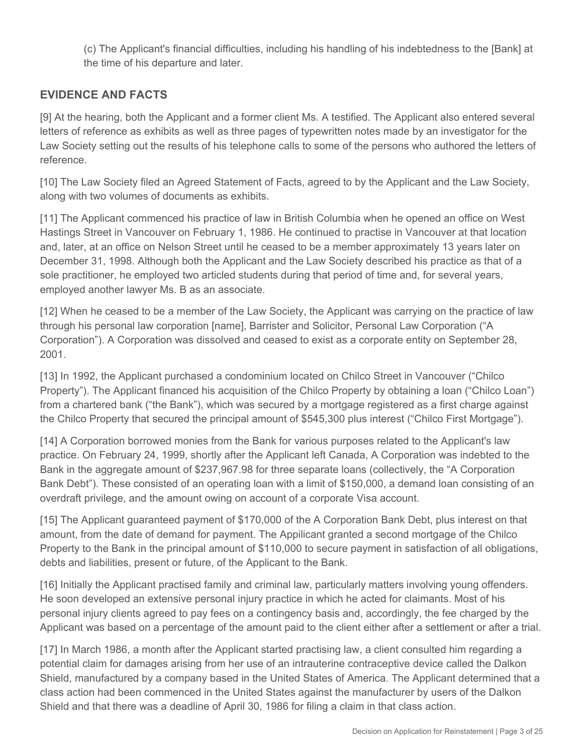(c) The Applicant's financial difficulties, including his handling of his indebtedness to the [Bank] at the time of his departure and later.

# **EVIDENCE AND FACTS**

[9] At the hearing, both the Applicant and a former client Ms. A testified. The Applicant also entered several letters of reference as exhibits as well as three pages of typewritten notes made by an investigator for the Law Society setting out the results of his telephone calls to some of the persons who authored the letters of reference.

[10] The Law Society filed an Agreed Statement of Facts, agreed to by the Applicant and the Law Society, along with two volumes of documents as exhibits.

[11] The Applicant commenced his practice of law in British Columbia when he opened an office on West Hastings Street in Vancouver on February 1, 1986. He continued to practise in Vancouver at that location and, later, at an office on Nelson Street until he ceased to be a member approximately 13 years later on December 31, 1998. Although both the Applicant and the Law Society described his practice as that of a sole practitioner, he employed two articled students during that period of time and, for several years, employed another lawyer Ms. B as an associate.

[12] When he ceased to be a member of the Law Society, the Applicant was carrying on the practice of law through his personal law corporation [name], Barrister and Solicitor, Personal Law Corporation ("A Corporation"). A Corporation was dissolved and ceased to exist as a corporate entity on September 28, 2001.

[13] In 1992, the Applicant purchased a condominium located on Chilco Street in Vancouver ("Chilco Property"). The Applicant financed his acquisition of the Chilco Property by obtaining a loan ("Chilco Loan") from a chartered bank ("the Bank"), which was secured by a mortgage registered as a first charge against the Chilco Property that secured the principal amount of \$545,300 plus interest ("Chilco First Mortgage").

[14] A Corporation borrowed monies from the Bank for various purposes related to the Applicant's law practice. On February 24, 1999, shortly after the Applicant left Canada, A Corporation was indebted to the Bank in the aggregate amount of \$237,967.98 for three separate loans (collectively, the "A Corporation Bank Debt"). These consisted of an operating loan with a limit of \$150,000, a demand loan consisting of an overdraft privilege, and the amount owing on account of a corporate Visa account.

[15] The Applicant guaranteed payment of \$170,000 of the A Corporation Bank Debt, plus interest on that amount, from the date of demand for payment. The Appilicant granted a second mortgage of the Chilco Property to the Bank in the principal amount of \$110,000 to secure payment in satisfaction of all obligations, debts and liabilities, present or future, of the Applicant to the Bank.

[16] Initially the Applicant practised family and criminal law, particularly matters involving young offenders. He soon developed an extensive personal injury practice in which he acted for claimants. Most of his personal injury clients agreed to pay fees on a contingency basis and, accordingly, the fee charged by the Applicant was based on a percentage of the amount paid to the client either after a settlement or after a trial.

[17] In March 1986, a month after the Applicant started practising law, a client consulted him regarding a potential claim for damages arising from her use of an intrauterine contraceptive device called the Dalkon Shield, manufactured by a company based in the United States of America. The Applicant determined that a class action had been commenced in the United States against the manufacturer by users of the Dalkon Shield and that there was a deadline of April 30, 1986 for filing a claim in that class action.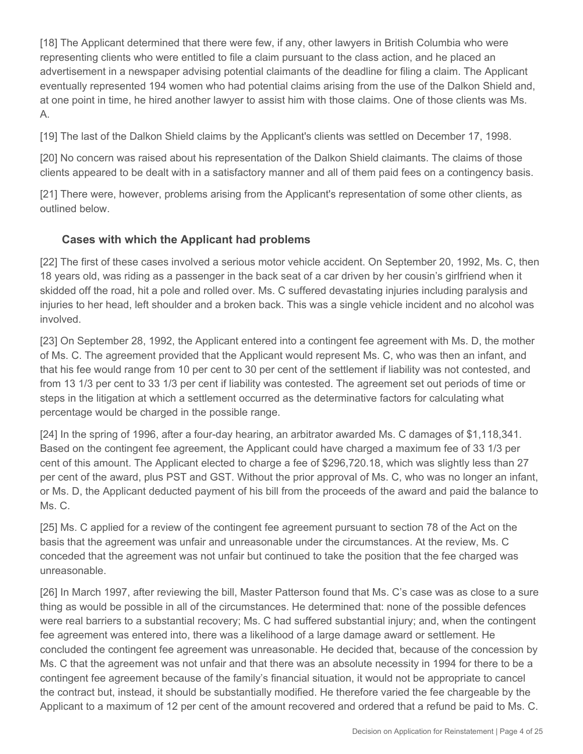[18] The Applicant determined that there were few, if any, other lawyers in British Columbia who were representing clients who were entitled to file a claim pursuant to the class action, and he placed an advertisement in a newspaper advising potential claimants of the deadline for filing a claim. The Applicant eventually represented 194 women who had potential claims arising from the use of the Dalkon Shield and, at one point in time, he hired another lawyer to assist him with those claims. One of those clients was Ms. A.

[19] The last of the Dalkon Shield claims by the Applicant's clients was settled on December 17, 1998.

[20] No concern was raised about his representation of the Dalkon Shield claimants. The claims of those clients appeared to be dealt with in a satisfactory manner and all of them paid fees on a contingency basis.

[21] There were, however, problems arising from the Applicant's representation of some other clients, as outlined below.

# **Cases with which the Applicant had problems**

[22] The first of these cases involved a serious motor vehicle accident. On September 20, 1992, Ms. C, then 18 years old, was riding as a passenger in the back seat of a car driven by her cousin's girlfriend when it skidded off the road, hit a pole and rolled over. Ms. C suffered devastating injuries including paralysis and injuries to her head, left shoulder and a broken back. This was a single vehicle incident and no alcohol was involved.

[23] On September 28, 1992, the Applicant entered into a contingent fee agreement with Ms. D, the mother of Ms. C. The agreement provided that the Applicant would represent Ms. C, who was then an infant, and that his fee would range from 10 per cent to 30 per cent of the settlement if liability was not contested, and from 13 1/3 per cent to 33 1/3 per cent if liability was contested. The agreement set out periods of time or steps in the litigation at which a settlement occurred as the determinative factors for calculating what percentage would be charged in the possible range.

[24] In the spring of 1996, after a four-day hearing, an arbitrator awarded Ms. C damages of \$1,118,341. Based on the contingent fee agreement, the Applicant could have charged a maximum fee of 33 1/3 per cent of this amount. The Applicant elected to charge a fee of \$296,720.18, which was slightly less than 27 per cent of the award, plus PST and GST. Without the prior approval of Ms. C, who was no longer an infant, or Ms. D, the Applicant deducted payment of his bill from the proceeds of the award and paid the balance to Ms. C.

[25] Ms. C applied for a review of the contingent fee agreement pursuant to section 78 of the Act on the basis that the agreement was unfair and unreasonable under the circumstances. At the review, Ms. C conceded that the agreement was not unfair but continued to take the position that the fee charged was unreasonable.

[26] In March 1997, after reviewing the bill, Master Patterson found that Ms. C's case was as close to a sure thing as would be possible in all of the circumstances. He determined that: none of the possible defences were real barriers to a substantial recovery; Ms. C had suffered substantial injury; and, when the contingent fee agreement was entered into, there was a likelihood of a large damage award or settlement. He concluded the contingent fee agreement was unreasonable. He decided that, because of the concession by Ms. C that the agreement was not unfair and that there was an absolute necessity in 1994 for there to be a contingent fee agreement because of the family's financial situation, it would not be appropriate to cancel the contract but, instead, it should be substantially modified. He therefore varied the fee chargeable by the Applicant to a maximum of 12 per cent of the amount recovered and ordered that a refund be paid to Ms. C.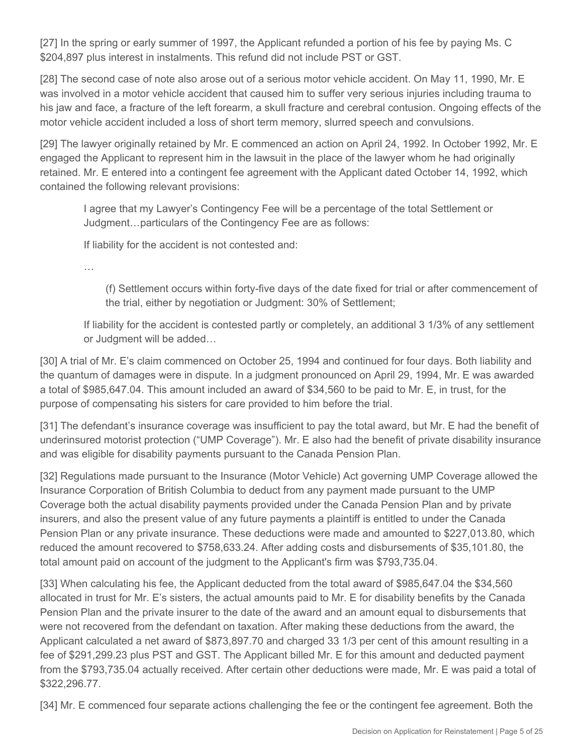[27] In the spring or early summer of 1997, the Applicant refunded a portion of his fee by paying Ms. C \$204,897 plus interest in instalments. This refund did not include PST or GST.

[28] The second case of note also arose out of a serious motor vehicle accident. On May 11, 1990, Mr. E was involved in a motor vehicle accident that caused him to suffer very serious injuries including trauma to his jaw and face, a fracture of the left forearm, a skull fracture and cerebral contusion. Ongoing effects of the motor vehicle accident included a loss of short term memory, slurred speech and convulsions.

[29] The lawyer originally retained by Mr. E commenced an action on April 24, 1992. In October 1992, Mr. E engaged the Applicant to represent him in the lawsuit in the place of the lawyer whom he had originally retained. Mr. E entered into a contingent fee agreement with the Applicant dated October 14, 1992, which contained the following relevant provisions:

I agree that my Lawyer's Contingency Fee will be a percentage of the total Settlement or Judgment…particulars of the Contingency Fee are as follows:

If liability for the accident is not contested and:

…

(f) Settlement occurs within forty-five days of the date fixed for trial or after commencement of the trial, either by negotiation or Judgment: 30% of Settlement;

If liability for the accident is contested partly or completely, an additional 3 1/3% of any settlement or Judgment will be added…

[30] A trial of Mr. E's claim commenced on October 25, 1994 and continued for four days. Both liability and the quantum of damages were in dispute. In a judgment pronounced on April 29, 1994, Mr. E was awarded a total of \$985,647.04. This amount included an award of \$34,560 to be paid to Mr. E, in trust, for the purpose of compensating his sisters for care provided to him before the trial.

[31] The defendant's insurance coverage was insufficient to pay the total award, but Mr. E had the benefit of underinsured motorist protection ("UMP Coverage"). Mr. E also had the benefit of private disability insurance and was eligible for disability payments pursuant to the Canada Pension Plan.

[32] Regulations made pursuant to the Insurance (Motor Vehicle) Act governing UMP Coverage allowed the Insurance Corporation of British Columbia to deduct from any payment made pursuant to the UMP Coverage both the actual disability payments provided under the Canada Pension Plan and by private insurers, and also the present value of any future payments a plaintiff is entitled to under the Canada Pension Plan or any private insurance. These deductions were made and amounted to \$227,013.80, which reduced the amount recovered to \$758,633.24. After adding costs and disbursements of \$35,101.80, the total amount paid on account of the judgment to the Applicant's firm was \$793,735.04.

[33] When calculating his fee, the Applicant deducted from the total award of \$985,647.04 the \$34,560 allocated in trust for Mr. E's sisters, the actual amounts paid to Mr. E for disability benefits by the Canada Pension Plan and the private insurer to the date of the award and an amount equal to disbursements that were not recovered from the defendant on taxation. After making these deductions from the award, the Applicant calculated a net award of \$873,897.70 and charged 33 1/3 per cent of this amount resulting in a fee of \$291,299.23 plus PST and GST. The Applicant billed Mr. E for this amount and deducted payment from the \$793,735.04 actually received. After certain other deductions were made, Mr. E was paid a total of \$322,296.77.

[34] Mr. E commenced four separate actions challenging the fee or the contingent fee agreement. Both the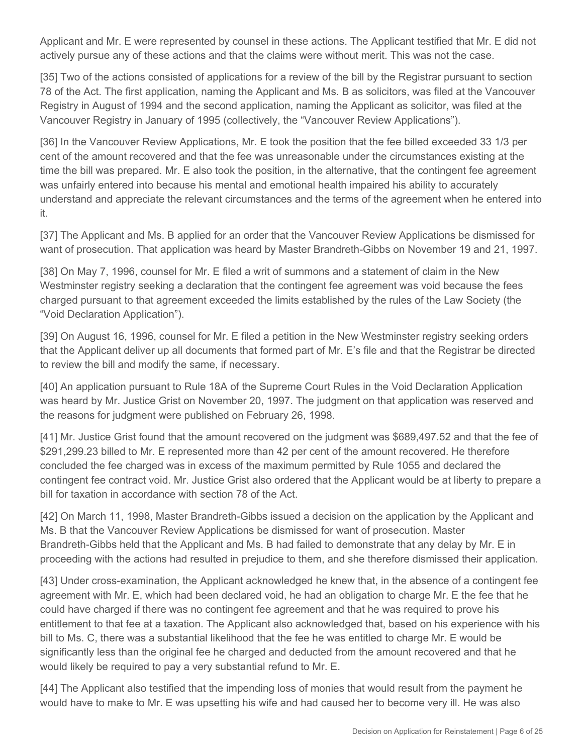Applicant and Mr. E were represented by counsel in these actions. The Applicant testified that Mr. E did not actively pursue any of these actions and that the claims were without merit. This was not the case.

[35] Two of the actions consisted of applications for a review of the bill by the Registrar pursuant to section 78 of the Act. The first application, naming the Applicant and Ms. B as solicitors, was filed at the Vancouver Registry in August of 1994 and the second application, naming the Applicant as solicitor, was filed at the Vancouver Registry in January of 1995 (collectively, the "Vancouver Review Applications").

[36] In the Vancouver Review Applications, Mr. E took the position that the fee billed exceeded 33 1/3 per cent of the amount recovered and that the fee was unreasonable under the circumstances existing at the time the bill was prepared. Mr. E also took the position, in the alternative, that the contingent fee agreement was unfairly entered into because his mental and emotional health impaired his ability to accurately understand and appreciate the relevant circumstances and the terms of the agreement when he entered into it.

[37] The Applicant and Ms. B applied for an order that the Vancouver Review Applications be dismissed for want of prosecution. That application was heard by Master Brandreth-Gibbs on November 19 and 21, 1997.

[38] On May 7, 1996, counsel for Mr. E filed a writ of summons and a statement of claim in the New Westminster registry seeking a declaration that the contingent fee agreement was void because the fees charged pursuant to that agreement exceeded the limits established by the rules of the Law Society (the "Void Declaration Application").

[39] On August 16, 1996, counsel for Mr. E filed a petition in the New Westminster registry seeking orders that the Applicant deliver up all documents that formed part of Mr. E's file and that the Registrar be directed to review the bill and modify the same, if necessary.

[40] An application pursuant to Rule 18A of the Supreme Court Rules in the Void Declaration Application was heard by Mr. Justice Grist on November 20, 1997. The judgment on that application was reserved and the reasons for judgment were published on February 26, 1998.

[41] Mr. Justice Grist found that the amount recovered on the judgment was \$689,497.52 and that the fee of \$291,299.23 billed to Mr. E represented more than 42 per cent of the amount recovered. He therefore concluded the fee charged was in excess of the maximum permitted by Rule 1055 and declared the contingent fee contract void. Mr. Justice Grist also ordered that the Applicant would be at liberty to prepare a bill for taxation in accordance with section 78 of the Act.

[42] On March 11, 1998, Master Brandreth-Gibbs issued a decision on the application by the Applicant and Ms. B that the Vancouver Review Applications be dismissed for want of prosecution. Master Brandreth-Gibbs held that the Applicant and Ms. B had failed to demonstrate that any delay by Mr. E in proceeding with the actions had resulted in prejudice to them, and she therefore dismissed their application.

[43] Under cross-examination, the Applicant acknowledged he knew that, in the absence of a contingent fee agreement with Mr. E, which had been declared void, he had an obligation to charge Mr. E the fee that he could have charged if there was no contingent fee agreement and that he was required to prove his entitlement to that fee at a taxation. The Applicant also acknowledged that, based on his experience with his bill to Ms. C, there was a substantial likelihood that the fee he was entitled to charge Mr. E would be significantly less than the original fee he charged and deducted from the amount recovered and that he would likely be required to pay a very substantial refund to Mr. E.

[44] The Applicant also testified that the impending loss of monies that would result from the payment he would have to make to Mr. E was upsetting his wife and had caused her to become very ill. He was also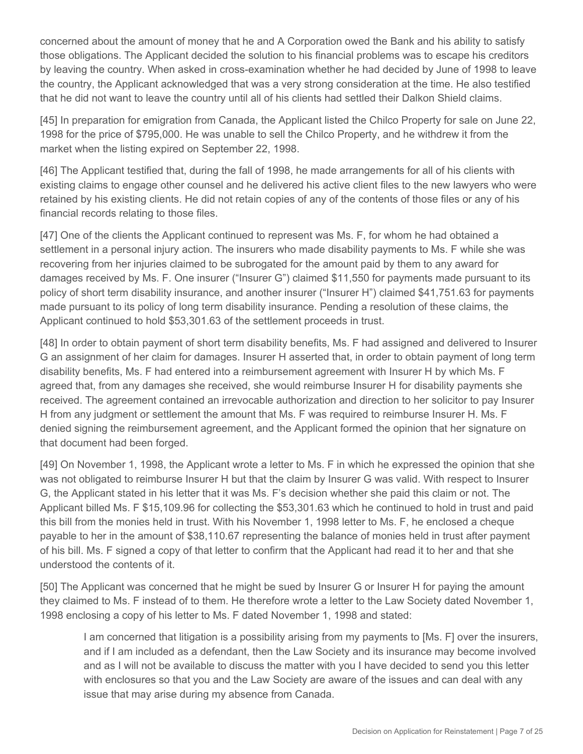concerned about the amount of money that he and A Corporation owed the Bank and his ability to satisfy those obligations. The Applicant decided the solution to his financial problems was to escape his creditors by leaving the country. When asked in cross-examination whether he had decided by June of 1998 to leave the country, the Applicant acknowledged that was a very strong consideration at the time. He also testified that he did not want to leave the country until all of his clients had settled their Dalkon Shield claims.

[45] In preparation for emigration from Canada, the Applicant listed the Chilco Property for sale on June 22, 1998 for the price of \$795,000. He was unable to sell the Chilco Property, and he withdrew it from the market when the listing expired on September 22, 1998.

[46] The Applicant testified that, during the fall of 1998, he made arrangements for all of his clients with existing claims to engage other counsel and he delivered his active client files to the new lawyers who were retained by his existing clients. He did not retain copies of any of the contents of those files or any of his financial records relating to those files.

[47] One of the clients the Applicant continued to represent was Ms. F, for whom he had obtained a settlement in a personal injury action. The insurers who made disability payments to Ms. F while she was recovering from her injuries claimed to be subrogated for the amount paid by them to any award for damages received by Ms. F. One insurer ("Insurer G") claimed \$11,550 for payments made pursuant to its policy of short term disability insurance, and another insurer ("Insurer H") claimed \$41,751.63 for payments made pursuant to its policy of long term disability insurance. Pending a resolution of these claims, the Applicant continued to hold \$53,301.63 of the settlement proceeds in trust.

[48] In order to obtain payment of short term disability benefits, Ms. F had assigned and delivered to Insurer G an assignment of her claim for damages. Insurer H asserted that, in order to obtain payment of long term disability benefits, Ms. F had entered into a reimbursement agreement with Insurer H by which Ms. F agreed that, from any damages she received, she would reimburse Insurer H for disability payments she received. The agreement contained an irrevocable authorization and direction to her solicitor to pay Insurer H from any judgment or settlement the amount that Ms. F was required to reimburse Insurer H. Ms. F denied signing the reimbursement agreement, and the Applicant formed the opinion that her signature on that document had been forged.

[49] On November 1, 1998, the Applicant wrote a letter to Ms. F in which he expressed the opinion that she was not obligated to reimburse Insurer H but that the claim by Insurer G was valid. With respect to Insurer G, the Applicant stated in his letter that it was Ms. F's decision whether she paid this claim or not. The Applicant billed Ms. F \$15,109.96 for collecting the \$53,301.63 which he continued to hold in trust and paid this bill from the monies held in trust. With his November 1, 1998 letter to Ms. F, he enclosed a cheque payable to her in the amount of \$38,110.67 representing the balance of monies held in trust after payment of his bill. Ms. F signed a copy of that letter to confirm that the Applicant had read it to her and that she understood the contents of it.

[50] The Applicant was concerned that he might be sued by Insurer G or Insurer H for paying the amount they claimed to Ms. F instead of to them. He therefore wrote a letter to the Law Society dated November 1, 1998 enclosing a copy of his letter to Ms. F dated November 1, 1998 and stated:

I am concerned that litigation is a possibility arising from my payments to [Ms. F] over the insurers, and if I am included as a defendant, then the Law Society and its insurance may become involved and as I will not be available to discuss the matter with you I have decided to send you this letter with enclosures so that you and the Law Society are aware of the issues and can deal with any issue that may arise during my absence from Canada.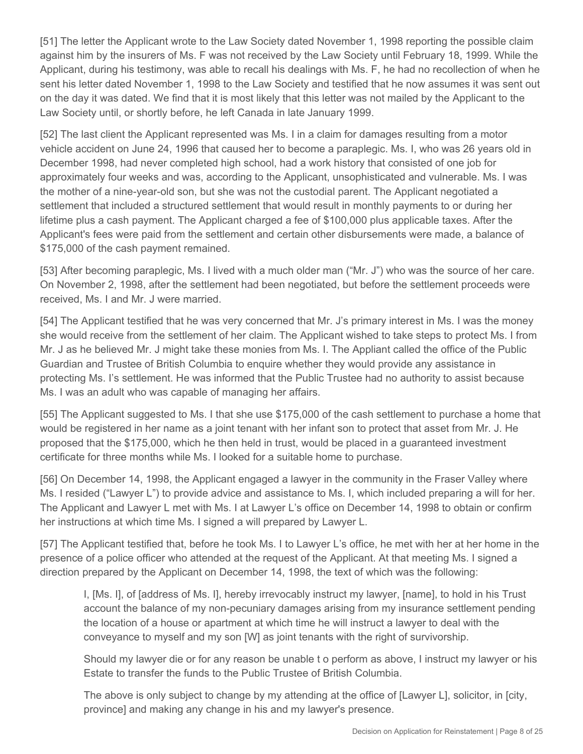[51] The letter the Applicant wrote to the Law Society dated November 1, 1998 reporting the possible claim against him by the insurers of Ms. F was not received by the Law Society until February 18, 1999. While the Applicant, during his testimony, was able to recall his dealings with Ms. F, he had no recollection of when he sent his letter dated November 1, 1998 to the Law Society and testified that he now assumes it was sent out on the day it was dated. We find that it is most likely that this letter was not mailed by the Applicant to the Law Society until, or shortly before, he left Canada in late January 1999.

[52] The last client the Applicant represented was Ms. I in a claim for damages resulting from a motor vehicle accident on June 24, 1996 that caused her to become a paraplegic. Ms. I, who was 26 years old in December 1998, had never completed high school, had a work history that consisted of one job for approximately four weeks and was, according to the Applicant, unsophisticated and vulnerable. Ms. I was the mother of a nine-year-old son, but she was not the custodial parent. The Applicant negotiated a settlement that included a structured settlement that would result in monthly payments to or during her lifetime plus a cash payment. The Applicant charged a fee of \$100,000 plus applicable taxes. After the Applicant's fees were paid from the settlement and certain other disbursements were made, a balance of \$175,000 of the cash payment remained.

[53] After becoming paraplegic, Ms. I lived with a much older man ("Mr. J") who was the source of her care. On November 2, 1998, after the settlement had been negotiated, but before the settlement proceeds were received, Ms. I and Mr. J were married.

[54] The Applicant testified that he was very concerned that Mr. J's primary interest in Ms. I was the money she would receive from the settlement of her claim. The Applicant wished to take steps to protect Ms. I from Mr. J as he believed Mr. J might take these monies from Ms. I. The Appliant called the office of the Public Guardian and Trustee of British Columbia to enquire whether they would provide any assistance in protecting Ms. I's settlement. He was informed that the Public Trustee had no authority to assist because Ms. I was an adult who was capable of managing her affairs.

[55] The Applicant suggested to Ms. I that she use \$175,000 of the cash settlement to purchase a home that would be registered in her name as a joint tenant with her infant son to protect that asset from Mr. J. He proposed that the \$175,000, which he then held in trust, would be placed in a guaranteed investment certificate for three months while Ms. I looked for a suitable home to purchase.

[56] On December 14, 1998, the Applicant engaged a lawyer in the community in the Fraser Valley where Ms. I resided ("Lawyer L") to provide advice and assistance to Ms. I, which included preparing a will for her. The Applicant and Lawyer L met with Ms. I at Lawyer L's office on December 14, 1998 to obtain or confirm her instructions at which time Ms. I signed a will prepared by Lawyer L.

[57] The Applicant testified that, before he took Ms. I to Lawyer L's office, he met with her at her home in the presence of a police officer who attended at the request of the Applicant. At that meeting Ms. I signed a direction prepared by the Applicant on December 14, 1998, the text of which was the following:

I, [Ms. I], of [address of Ms. I], hereby irrevocably instruct my lawyer, [name], to hold in his Trust account the balance of my non-pecuniary damages arising from my insurance settlement pending the location of a house or apartment at which time he will instruct a lawyer to deal with the conveyance to myself and my son [W] as joint tenants with the right of survivorship.

Should my lawyer die or for any reason be unable t o perform as above, I instruct my lawyer or his Estate to transfer the funds to the Public Trustee of British Columbia.

The above is only subject to change by my attending at the office of [Lawyer L], solicitor, in [city, province] and making any change in his and my lawyer's presence.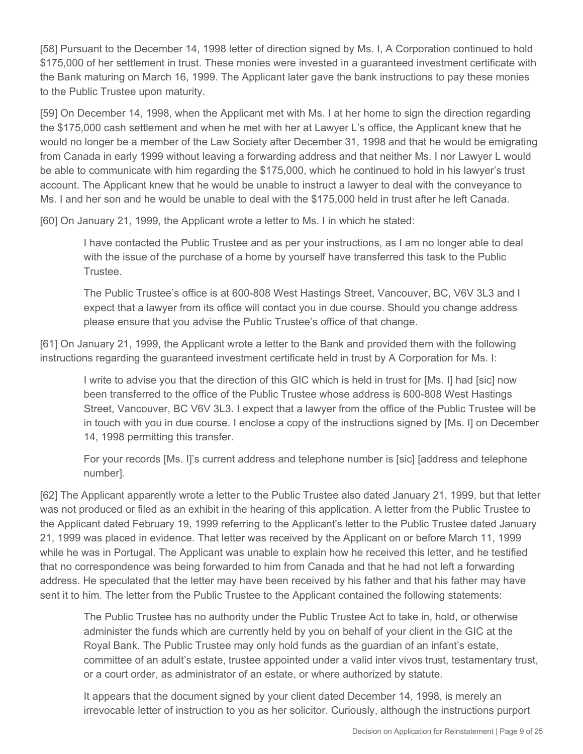[58] Pursuant to the December 14, 1998 letter of direction signed by Ms. I, A Corporation continued to hold \$175,000 of her settlement in trust. These monies were invested in a guaranteed investment certificate with the Bank maturing on March 16, 1999. The Applicant later gave the bank instructions to pay these monies to the Public Trustee upon maturity.

[59] On December 14, 1998, when the Applicant met with Ms. I at her home to sign the direction regarding the \$175,000 cash settlement and when he met with her at Lawyer L's office, the Applicant knew that he would no longer be a member of the Law Society after December 31, 1998 and that he would be emigrating from Canada in early 1999 without leaving a forwarding address and that neither Ms. I nor Lawyer L would be able to communicate with him regarding the \$175,000, which he continued to hold in his lawyer's trust account. The Applicant knew that he would be unable to instruct a lawyer to deal with the conveyance to Ms. I and her son and he would be unable to deal with the \$175,000 held in trust after he left Canada.

[60] On January 21, 1999, the Applicant wrote a letter to Ms. I in which he stated:

I have contacted the Public Trustee and as per your instructions, as I am no longer able to deal with the issue of the purchase of a home by yourself have transferred this task to the Public Trustee.

The Public Trustee's office is at 600-808 West Hastings Street, Vancouver, BC, V6V 3L3 and I expect that a lawyer from its office will contact you in due course. Should you change address please ensure that you advise the Public Trustee's office of that change.

[61] On January 21, 1999, the Applicant wrote a letter to the Bank and provided them with the following instructions regarding the guaranteed investment certificate held in trust by A Corporation for Ms. I:

I write to advise you that the direction of this GIC which is held in trust for [Ms. I] had [sic] now been transferred to the office of the Public Trustee whose address is 600-808 West Hastings Street, Vancouver, BC V6V 3L3. I expect that a lawyer from the office of the Public Trustee will be in touch with you in due course. I enclose a copy of the instructions signed by [Ms. I] on December 14, 1998 permitting this transfer.

For your records [Ms. I]'s current address and telephone number is [sic] [address and telephone number].

[62] The Applicant apparently wrote a letter to the Public Trustee also dated January 21, 1999, but that letter was not produced or filed as an exhibit in the hearing of this application. A letter from the Public Trustee to the Applicant dated February 19, 1999 referring to the Applicant's letter to the Public Trustee dated January 21, 1999 was placed in evidence. That letter was received by the Applicant on or before March 11, 1999 while he was in Portugal. The Applicant was unable to explain how he received this letter, and he testified that no correspondence was being forwarded to him from Canada and that he had not left a forwarding address. He speculated that the letter may have been received by his father and that his father may have sent it to him. The letter from the Public Trustee to the Applicant contained the following statements:

The Public Trustee has no authority under the Public Trustee Act to take in, hold, or otherwise administer the funds which are currently held by you on behalf of your client in the GIC at the Royal Bank. The Public Trustee may only hold funds as the guardian of an infant's estate, committee of an adult's estate, trustee appointed under a valid inter vivos trust, testamentary trust, or a court order, as administrator of an estate, or where authorized by statute.

It appears that the document signed by your client dated December 14, 1998, is merely an irrevocable letter of instruction to you as her solicitor. Curiously, although the instructions purport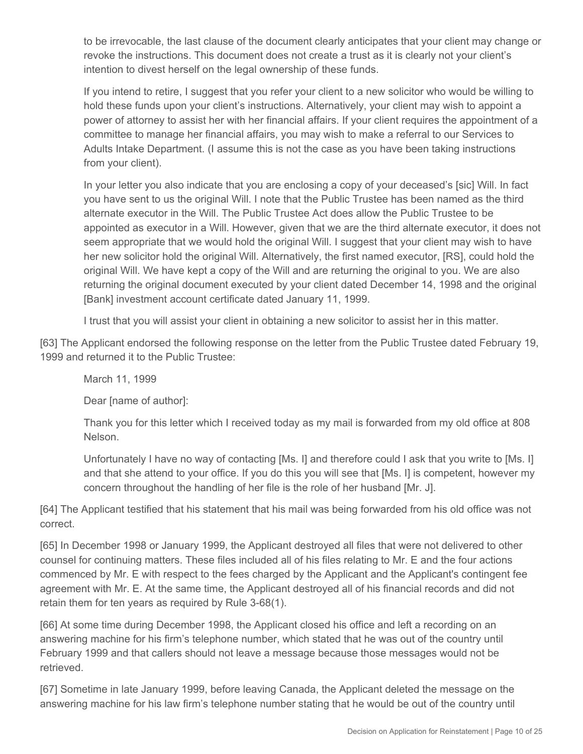to be irrevocable, the last clause of the document clearly anticipates that your client may change or revoke the instructions. This document does not create a trust as it is clearly not your client's intention to divest herself on the legal ownership of these funds.

If you intend to retire, I suggest that you refer your client to a new solicitor who would be willing to hold these funds upon your client's instructions. Alternatively, your client may wish to appoint a power of attorney to assist her with her financial affairs. If your client requires the appointment of a committee to manage her financial affairs, you may wish to make a referral to our Services to Adults Intake Department. (I assume this is not the case as you have been taking instructions from your client).

In your letter you also indicate that you are enclosing a copy of your deceased's [sic] Will. In fact you have sent to us the original Will. I note that the Public Trustee has been named as the third alternate executor in the Will. The Public Trustee Act does allow the Public Trustee to be appointed as executor in a Will. However, given that we are the third alternate executor, it does not seem appropriate that we would hold the original Will. I suggest that your client may wish to have her new solicitor hold the original Will. Alternatively, the first named executor, [RS], could hold the original Will. We have kept a copy of the Will and are returning the original to you. We are also returning the original document executed by your client dated December 14, 1998 and the original [Bank] investment account certificate dated January 11, 1999.

I trust that you will assist your client in obtaining a new solicitor to assist her in this matter.

[63] The Applicant endorsed the following response on the letter from the Public Trustee dated February 19, 1999 and returned it to the Public Trustee:

March 11, 1999

Dear [name of author]:

Thank you for this letter which I received today as my mail is forwarded from my old office at 808 Nelson.

Unfortunately I have no way of contacting [Ms. I] and therefore could I ask that you write to [Ms. I] and that she attend to your office. If you do this you will see that [Ms. I] is competent, however my concern throughout the handling of her file is the role of her husband [Mr. J].

[64] The Applicant testified that his statement that his mail was being forwarded from his old office was not correct.

[65] In December 1998 or January 1999, the Applicant destroyed all files that were not delivered to other counsel for continuing matters. These files included all of his files relating to Mr. E and the four actions commenced by Mr. E with respect to the fees charged by the Applicant and the Applicant's contingent fee agreement with Mr. E. At the same time, the Applicant destroyed all of his financial records and did not retain them for ten years as required by Rule 3-68(1).

[66] At some time during December 1998, the Applicant closed his office and left a recording on an answering machine for his firm's telephone number, which stated that he was out of the country until February 1999 and that callers should not leave a message because those messages would not be retrieved.

[67] Sometime in late January 1999, before leaving Canada, the Applicant deleted the message on the answering machine for his law firm's telephone number stating that he would be out of the country until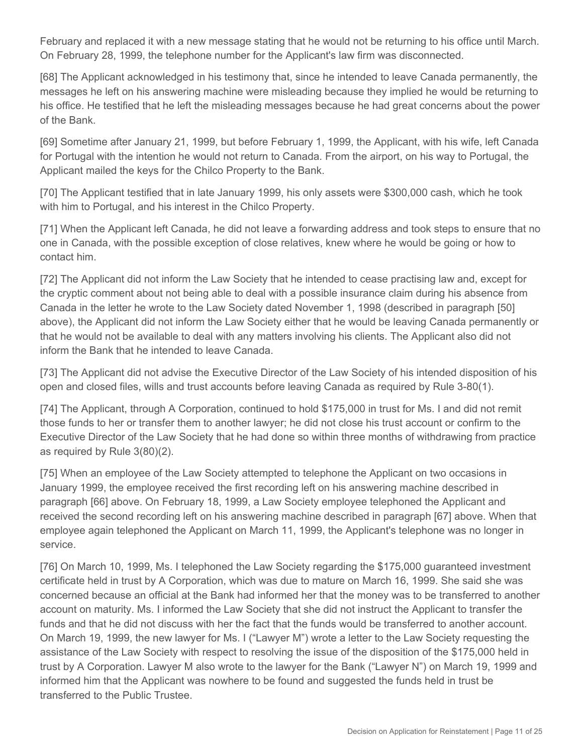February and replaced it with a new message stating that he would not be returning to his office until March. On February 28, 1999, the telephone number for the Applicant's law firm was disconnected.

[68] The Applicant acknowledged in his testimony that, since he intended to leave Canada permanently, the messages he left on his answering machine were misleading because they implied he would be returning to his office. He testified that he left the misleading messages because he had great concerns about the power of the Bank.

[69] Sometime after January 21, 1999, but before February 1, 1999, the Applicant, with his wife, left Canada for Portugal with the intention he would not return to Canada. From the airport, on his way to Portugal, the Applicant mailed the keys for the Chilco Property to the Bank.

[70] The Applicant testified that in late January 1999, his only assets were \$300,000 cash, which he took with him to Portugal, and his interest in the Chilco Property.

[71] When the Applicant left Canada, he did not leave a forwarding address and took steps to ensure that no one in Canada, with the possible exception of close relatives, knew where he would be going or how to contact him.

[72] The Applicant did not inform the Law Society that he intended to cease practising law and, except for the cryptic comment about not being able to deal with a possible insurance claim during his absence from Canada in the letter he wrote to the Law Society dated November 1, 1998 (described in paragraph [50] above), the Applicant did not inform the Law Society either that he would be leaving Canada permanently or that he would not be available to deal with any matters involving his clients. The Applicant also did not inform the Bank that he intended to leave Canada.

[73] The Applicant did not advise the Executive Director of the Law Society of his intended disposition of his open and closed files, wills and trust accounts before leaving Canada as required by Rule 3-80(1).

[74] The Applicant, through A Corporation, continued to hold \$175,000 in trust for Ms. I and did not remit those funds to her or transfer them to another lawyer; he did not close his trust account or confirm to the Executive Director of the Law Society that he had done so within three months of withdrawing from practice as required by Rule 3(80)(2).

[75] When an employee of the Law Society attempted to telephone the Applicant on two occasions in January 1999, the employee received the first recording left on his answering machine described in paragraph [66] above. On February 18, 1999, a Law Society employee telephoned the Applicant and received the second recording left on his answering machine described in paragraph [67] above. When that employee again telephoned the Applicant on March 11, 1999, the Applicant's telephone was no longer in service.

[76] On March 10, 1999, Ms. I telephoned the Law Society regarding the \$175,000 guaranteed investment certificate held in trust by A Corporation, which was due to mature on March 16, 1999. She said she was concerned because an official at the Bank had informed her that the money was to be transferred to another account on maturity. Ms. I informed the Law Society that she did not instruct the Applicant to transfer the funds and that he did not discuss with her the fact that the funds would be transferred to another account. On March 19, 1999, the new lawyer for Ms. I ("Lawyer M") wrote a letter to the Law Society requesting the assistance of the Law Society with respect to resolving the issue of the disposition of the \$175,000 held in trust by A Corporation. Lawyer M also wrote to the lawyer for the Bank ("Lawyer N") on March 19, 1999 and informed him that the Applicant was nowhere to be found and suggested the funds held in trust be transferred to the Public Trustee.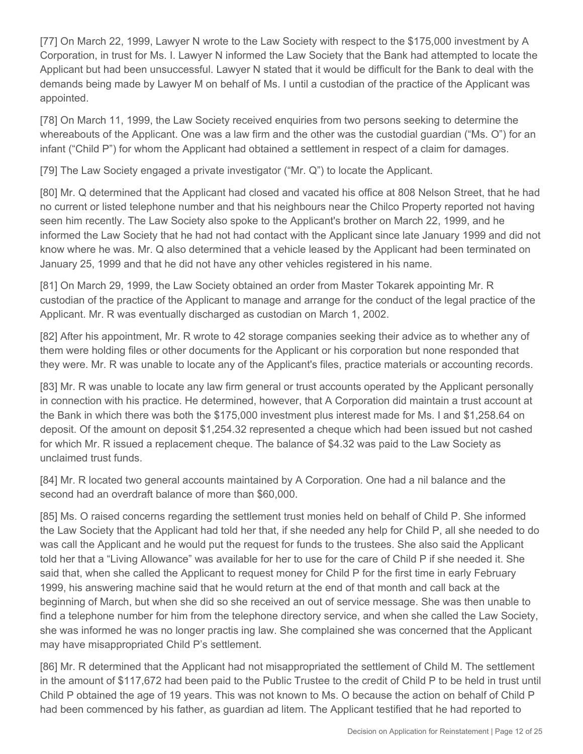[77] On March 22, 1999, Lawyer N wrote to the Law Society with respect to the \$175,000 investment by A Corporation, in trust for Ms. I. Lawyer N informed the Law Society that the Bank had attempted to locate the Applicant but had been unsuccessful. Lawyer N stated that it would be difficult for the Bank to deal with the demands being made by Lawyer M on behalf of Ms. I until a custodian of the practice of the Applicant was appointed.

[78] On March 11, 1999, the Law Society received enquiries from two persons seeking to determine the whereabouts of the Applicant. One was a law firm and the other was the custodial guardian ("Ms. O") for an infant ("Child P") for whom the Applicant had obtained a settlement in respect of a claim for damages.

[79] The Law Society engaged a private investigator ("Mr. Q") to locate the Applicant.

[80] Mr. Q determined that the Applicant had closed and vacated his office at 808 Nelson Street, that he had no current or listed telephone number and that his neighbours near the Chilco Property reported not having seen him recently. The Law Society also spoke to the Applicant's brother on March 22, 1999, and he informed the Law Society that he had not had contact with the Applicant since late January 1999 and did not know where he was. Mr. Q also determined that a vehicle leased by the Applicant had been terminated on January 25, 1999 and that he did not have any other vehicles registered in his name.

[81] On March 29, 1999, the Law Society obtained an order from Master Tokarek appointing Mr. R custodian of the practice of the Applicant to manage and arrange for the conduct of the legal practice of the Applicant. Mr. R was eventually discharged as custodian on March 1, 2002.

[82] After his appointment, Mr. R wrote to 42 storage companies seeking their advice as to whether any of them were holding files or other documents for the Applicant or his corporation but none responded that they were. Mr. R was unable to locate any of the Applicant's files, practice materials or accounting records.

[83] Mr. R was unable to locate any law firm general or trust accounts operated by the Applicant personally in connection with his practice. He determined, however, that A Corporation did maintain a trust account at the Bank in which there was both the \$175,000 investment plus interest made for Ms. I and \$1,258.64 on deposit. Of the amount on deposit \$1,254.32 represented a cheque which had been issued but not cashed for which Mr. R issued a replacement cheque. The balance of \$4.32 was paid to the Law Society as unclaimed trust funds.

[84] Mr. R located two general accounts maintained by A Corporation. One had a nil balance and the second had an overdraft balance of more than \$60,000.

[85] Ms. O raised concerns regarding the settlement trust monies held on behalf of Child P. She informed the Law Society that the Applicant had told her that, if she needed any help for Child P, all she needed to do was call the Applicant and he would put the request for funds to the trustees. She also said the Applicant told her that a "Living Allowance" was available for her to use for the care of Child P if she needed it. She said that, when she called the Applicant to request money for Child P for the first time in early February 1999, his answering machine said that he would return at the end of that month and call back at the beginning of March, but when she did so she received an out of service message. She was then unable to find a telephone number for him from the telephone directory service, and when she called the Law Society, she was informed he was no longer practis ing law. She complained she was concerned that the Applicant may have misappropriated Child P's settlement.

[86] Mr. R determined that the Applicant had not misappropriated the settlement of Child M. The settlement in the amount of \$117,672 had been paid to the Public Trustee to the credit of Child P to be held in trust until Child P obtained the age of 19 years. This was not known to Ms. O because the action on behalf of Child P had been commenced by his father, as guardian ad litem. The Applicant testified that he had reported to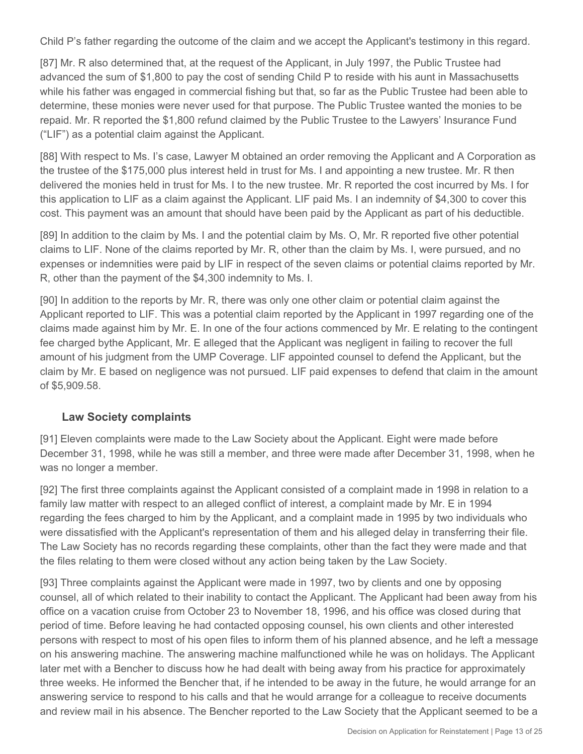Child P's father regarding the outcome of the claim and we accept the Applicant's testimony in this regard.

[87] Mr. R also determined that, at the request of the Applicant, in July 1997, the Public Trustee had advanced the sum of \$1,800 to pay the cost of sending Child P to reside with his aunt in Massachusetts while his father was engaged in commercial fishing but that, so far as the Public Trustee had been able to determine, these monies were never used for that purpose. The Public Trustee wanted the monies to be repaid. Mr. R reported the \$1,800 refund claimed by the Public Trustee to the Lawyers' Insurance Fund ("LIF") as a potential claim against the Applicant.

[88] With respect to Ms. I's case, Lawyer M obtained an order removing the Applicant and A Corporation as the trustee of the \$175,000 plus interest held in trust for Ms. I and appointing a new trustee. Mr. R then delivered the monies held in trust for Ms. I to the new trustee. Mr. R reported the cost incurred by Ms. I for this application to LIF as a claim against the Applicant. LIF paid Ms. I an indemnity of \$4,300 to cover this cost. This payment was an amount that should have been paid by the Applicant as part of his deductible.

[89] In addition to the claim by Ms. I and the potential claim by Ms. O, Mr. R reported five other potential claims to LIF. None of the claims reported by Mr. R, other than the claim by Ms. I, were pursued, and no expenses or indemnities were paid by LIF in respect of the seven claims or potential claims reported by Mr. R, other than the payment of the \$4,300 indemnity to Ms. I.

[90] In addition to the reports by Mr. R, there was only one other claim or potential claim against the Applicant reported to LIF. This was a potential claim reported by the Applicant in 1997 regarding one of the claims made against him by Mr. E. In one of the four actions commenced by Mr. E relating to the contingent fee charged bythe Applicant, Mr. E alleged that the Applicant was negligent in failing to recover the full amount of his judgment from the UMP Coverage. LIF appointed counsel to defend the Applicant, but the claim by Mr. E based on negligence was not pursued. LIF paid expenses to defend that claim in the amount of \$5,909.58.

#### **Law Society complaints**

[91] Eleven complaints were made to the Law Society about the Applicant. Eight were made before December 31, 1998, while he was still a member, and three were made after December 31, 1998, when he was no longer a member.

[92] The first three complaints against the Applicant consisted of a complaint made in 1998 in relation to a family law matter with respect to an alleged conflict of interest, a complaint made by Mr. E in 1994 regarding the fees charged to him by the Applicant, and a complaint made in 1995 by two individuals who were dissatisfied with the Applicant's representation of them and his alleged delay in transferring their file. The Law Society has no records regarding these complaints, other than the fact they were made and that the files relating to them were closed without any action being taken by the Law Society.

[93] Three complaints against the Applicant were made in 1997, two by clients and one by opposing counsel, all of which related to their inability to contact the Applicant. The Applicant had been away from his office on a vacation cruise from October 23 to November 18, 1996, and his office was closed during that period of time. Before leaving he had contacted opposing counsel, his own clients and other interested persons with respect to most of his open files to inform them of his planned absence, and he left a message on his answering machine. The answering machine malfunctioned while he was on holidays. The Applicant later met with a Bencher to discuss how he had dealt with being away from his practice for approximately three weeks. He informed the Bencher that, if he intended to be away in the future, he would arrange for an answering service to respond to his calls and that he would arrange for a colleague to receive documents and review mail in his absence. The Bencher reported to the Law Society that the Applicant seemed to be a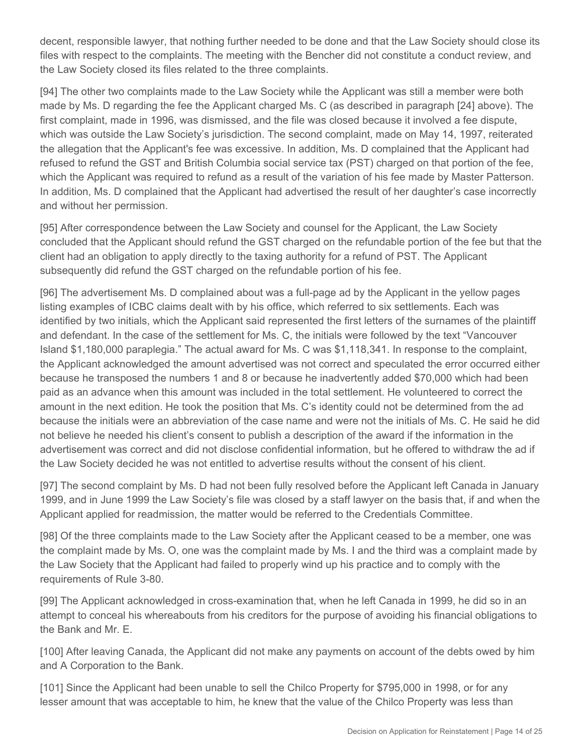decent, responsible lawyer, that nothing further needed to be done and that the Law Society should close its files with respect to the complaints. The meeting with the Bencher did not constitute a conduct review, and the Law Society closed its files related to the three complaints.

[94] The other two complaints made to the Law Society while the Applicant was still a member were both made by Ms. D regarding the fee the Applicant charged Ms. C (as described in paragraph [24] above). The first complaint, made in 1996, was dismissed, and the file was closed because it involved a fee dispute, which was outside the Law Society's jurisdiction. The second complaint, made on May 14, 1997, reiterated the allegation that the Applicant's fee was excessive. In addition, Ms. D complained that the Applicant had refused to refund the GST and British Columbia social service tax (PST) charged on that portion of the fee, which the Applicant was required to refund as a result of the variation of his fee made by Master Patterson. In addition, Ms. D complained that the Applicant had advertised the result of her daughter's case incorrectly and without her permission.

[95] After correspondence between the Law Society and counsel for the Applicant, the Law Society concluded that the Applicant should refund the GST charged on the refundable portion of the fee but that the client had an obligation to apply directly to the taxing authority for a refund of PST. The Applicant subsequently did refund the GST charged on the refundable portion of his fee.

[96] The advertisement Ms. D complained about was a full-page ad by the Applicant in the yellow pages listing examples of ICBC claims dealt with by his office, which referred to six settlements. Each was identified by two initials, which the Applicant said represented the first letters of the surnames of the plaintiff and defendant. In the case of the settlement for Ms. C, the initials were followed by the text "Vancouver Island \$1,180,000 paraplegia." The actual award for Ms. C was \$1,118,341. In response to the complaint, the Applicant acknowledged the amount advertised was not correct and speculated the error occurred either because he transposed the numbers 1 and 8 or because he inadvertently added \$70,000 which had been paid as an advance when this amount was included in the total settlement. He volunteered to correct the amount in the next edition. He took the position that Ms. C's identity could not be determined from the ad because the initials were an abbreviation of the case name and were not the initials of Ms. C. He said he did not believe he needed his client's consent to publish a description of the award if the information in the advertisement was correct and did not disclose confidential information, but he offered to withdraw the ad if the Law Society decided he was not entitled to advertise results without the consent of his client.

[97] The second complaint by Ms. D had not been fully resolved before the Applicant left Canada in January 1999, and in June 1999 the Law Society's file was closed by a staff lawyer on the basis that, if and when the Applicant applied for readmission, the matter would be referred to the Credentials Committee.

[98] Of the three complaints made to the Law Society after the Applicant ceased to be a member, one was the complaint made by Ms. O, one was the complaint made by Ms. I and the third was a complaint made by the Law Society that the Applicant had failed to properly wind up his practice and to comply with the requirements of Rule 3-80.

[99] The Applicant acknowledged in cross-examination that, when he left Canada in 1999, he did so in an attempt to conceal his whereabouts from his creditors for the purpose of avoiding his financial obligations to the Bank and Mr. E.

[100] After leaving Canada, the Applicant did not make any payments on account of the debts owed by him and A Corporation to the Bank.

[101] Since the Applicant had been unable to sell the Chilco Property for \$795,000 in 1998, or for any lesser amount that was acceptable to him, he knew that the value of the Chilco Property was less than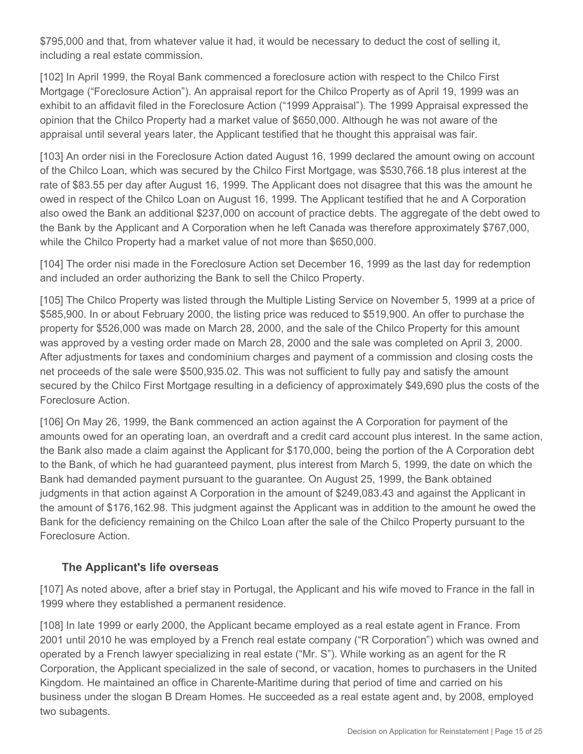\$795,000 and that, from whatever value it had, it would be necessary to deduct the cost of selling it, including a real estate commission.

[102] In April 1999, the Royal Bank commenced a foreclosure action with respect to the Chilco First Mortgage ("Foreclosure Action"). An appraisal report for the Chilco Property as of April 19, 1999 was an exhibit to an affidavit filed in the Foreclosure Action ("1999 Appraisal"). The 1999 Appraisal expressed the opinion that the Chilco Property had a market value of \$650,000. Although he was not aware of the appraisal until several years later, the Applicant testified that he thought this appraisal was fair.

[103] An order nisi in the Foreclosure Action dated August 16, 1999 declared the amount owing on account of the Chilco Loan, which was secured by the Chilco First Mortgage, was \$530,766.18 plus interest at the rate of \$83.55 per day after August 16, 1999. The Applicant does not disagree that this was the amount he owed in respect of the Chilco Loan on August 16, 1999. The Applicant testified that he and A Corporation also owed the Bank an additional \$237,000 on account of practice debts. The aggregate of the debt owed to the Bank by the Applicant and A Corporation when he left Canada was therefore approximately \$767,000, while the Chilco Property had a market value of not more than \$650,000.

[104] The order nisi made in the Foreclosure Action set December 16, 1999 as the last day for redemption and included an order authorizing the Bank to sell the Chilco Property.

[105] The Chilco Property was listed through the Multiple Listing Service on November 5, 1999 at a price of \$585,900. In or about February 2000, the listing price was reduced to \$519,900. An offer to purchase the property for \$526,000 was made on March 28, 2000, and the sale of the Chilco Property for this amount was approved by a vesting order made on March 28, 2000 and the sale was completed on April 3, 2000. After adjustments for taxes and condominium charges and payment of a commission and closing costs the net proceeds of the sale were \$500,935.02. This was not sufficient to fully pay and satisfy the amount secured by the Chilco First Mortgage resulting in a deficiency of approximately \$49,690 plus the costs of the Foreclosure Action.

[106] On May 26, 1999, the Bank commenced an action against the A Corporation for payment of the amounts owed for an operating loan, an overdraft and a credit card account plus interest. In the same action, the Bank also made a claim against the Applicant for \$170,000, being the portion of the A Corporation debt to the Bank, of which he had guaranteed payment, plus interest from March 5, 1999, the date on which the Bank had demanded payment pursuant to the guarantee. On August 25, 1999, the Bank obtained judgments in that action against A Corporation in the amount of \$249,083.43 and against the Applicant in the amount of \$176,162.98. This judgment against the Applicant was in addition to the amount he owed the Bank for the deficiency remaining on the Chilco Loan after the sale of the Chilco Property pursuant to the Foreclosure Action.

#### **The Applicant's life overseas**

[107] As noted above, after a brief stay in Portugal, the Applicant and his wife moved to France in the fall in 1999 where they established a permanent residence.

[108] In late 1999 or early 2000, the Applicant became employed as a real estate agent in France. From 2001 until 2010 he was employed by a French real estate company ("R Corporation") which was owned and operated by a French lawyer specializing in real estate ("Mr. S"). While working as an agent for the R Corporation, the Applicant specialized in the sale of second, or vacation, homes to purchasers in the United Kingdom. He maintained an office in Charente-Maritime during that period of time and carried on his business under the slogan B Dream Homes. He succeeded as a real estate agent and, by 2008, employed two subagents.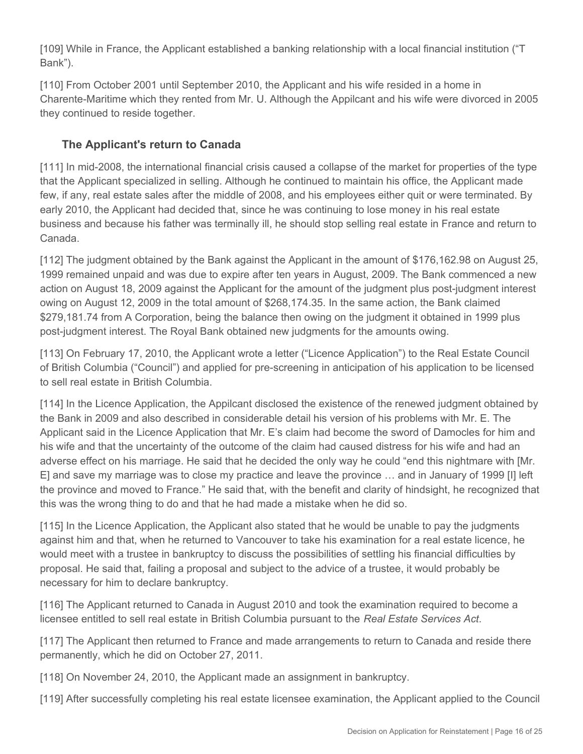[109] While in France, the Applicant established a banking relationship with a local financial institution ("T Bank").

[110] From October 2001 until September 2010, the Applicant and his wife resided in a home in Charente-Maritime which they rented from Mr. U. Although the Appilcant and his wife were divorced in 2005 they continued to reside together.

# **The Applicant's return to Canada**

[111] In mid-2008, the international financial crisis caused a collapse of the market for properties of the type that the Applicant specialized in selling. Although he continued to maintain his office, the Applicant made few, if any, real estate sales after the middle of 2008, and his employees either quit or were terminated. By early 2010, the Applicant had decided that, since he was continuing to lose money in his real estate business and because his father was terminally ill, he should stop selling real estate in France and return to Canada.

[112] The judgment obtained by the Bank against the Applicant in the amount of \$176,162.98 on August 25, 1999 remained unpaid and was due to expire after ten years in August, 2009. The Bank commenced a new action on August 18, 2009 against the Applicant for the amount of the judgment plus post-judgment interest owing on August 12, 2009 in the total amount of \$268,174.35. In the same action, the Bank claimed \$279,181.74 from A Corporation, being the balance then owing on the judgment it obtained in 1999 plus post-judgment interest. The Royal Bank obtained new judgments for the amounts owing.

[113] On February 17, 2010, the Applicant wrote a letter ("Licence Application") to the Real Estate Council of British Columbia ("Council") and applied for pre-screening in anticipation of his application to be licensed to sell real estate in British Columbia.

[114] In the Licence Application, the Appilcant disclosed the existence of the renewed judgment obtained by the Bank in 2009 and also described in considerable detail his version of his problems with Mr. E. The Applicant said in the Licence Application that Mr. E's claim had become the sword of Damocles for him and his wife and that the uncertainty of the outcome of the claim had caused distress for his wife and had an adverse effect on his marriage. He said that he decided the only way he could "end this nightmare with [Mr. E] and save my marriage was to close my practice and leave the province … and in January of 1999 [I] left the province and moved to France." He said that, with the benefit and clarity of hindsight, he recognized that this was the wrong thing to do and that he had made a mistake when he did so.

[115] In the Licence Application, the Applicant also stated that he would be unable to pay the judgments against him and that, when he returned to Vancouver to take his examination for a real estate licence, he would meet with a trustee in bankruptcy to discuss the possibilities of settling his financial difficulties by proposal. He said that, failing a proposal and subject to the advice of a trustee, it would probably be necessary for him to declare bankruptcy.

[116] The Applicant returned to Canada in August 2010 and took the examination required to become a licensee entitled to sell real estate in British Columbia pursuant to the *Real Estate Services Act*.

[117] The Applicant then returned to France and made arrangements to return to Canada and reside there permanently, which he did on October 27, 2011.

[118] On November 24, 2010, the Applicant made an assignment in bankruptcy.

[119] After successfully completing his real estate licensee examination, the Applicant applied to the Council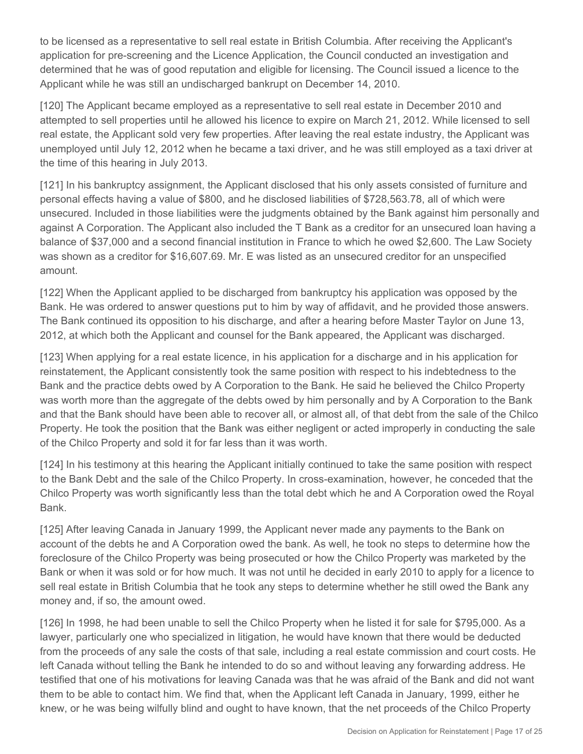to be licensed as a representative to sell real estate in British Columbia. After receiving the Applicant's application for pre-screening and the Licence Application, the Council conducted an investigation and determined that he was of good reputation and eligible for licensing. The Council issued a licence to the Applicant while he was still an undischarged bankrupt on December 14, 2010.

[120] The Applicant became employed as a representative to sell real estate in December 2010 and attempted to sell properties until he allowed his licence to expire on March 21, 2012. While licensed to sell real estate, the Applicant sold very few properties. After leaving the real estate industry, the Applicant was unemployed until July 12, 2012 when he became a taxi driver, and he was still employed as a taxi driver at the time of this hearing in July 2013.

[121] In his bankruptcy assignment, the Applicant disclosed that his only assets consisted of furniture and personal effects having a value of \$800, and he disclosed liabilities of \$728,563.78, all of which were unsecured. Included in those liabilities were the judgments obtained by the Bank against him personally and against A Corporation. The Applicant also included the T Bank as a creditor for an unsecured loan having a balance of \$37,000 and a second financial institution in France to which he owed \$2,600. The Law Society was shown as a creditor for \$16,607.69. Mr. E was listed as an unsecured creditor for an unspecified amount.

[122] When the Applicant applied to be discharged from bankruptcy his application was opposed by the Bank. He was ordered to answer questions put to him by way of affidavit, and he provided those answers. The Bank continued its opposition to his discharge, and after a hearing before Master Taylor on June 13, 2012, at which both the Applicant and counsel for the Bank appeared, the Applicant was discharged.

[123] When applying for a real estate licence, in his application for a discharge and in his application for reinstatement, the Applicant consistently took the same position with respect to his indebtedness to the Bank and the practice debts owed by A Corporation to the Bank. He said he believed the Chilco Property was worth more than the aggregate of the debts owed by him personally and by A Corporation to the Bank and that the Bank should have been able to recover all, or almost all, of that debt from the sale of the Chilco Property. He took the position that the Bank was either negligent or acted improperly in conducting the sale of the Chilco Property and sold it for far less than it was worth.

[124] In his testimony at this hearing the Applicant initially continued to take the same position with respect to the Bank Debt and the sale of the Chilco Property. In cross-examination, however, he conceded that the Chilco Property was worth significantly less than the total debt which he and A Corporation owed the Royal Bank.

[125] After leaving Canada in January 1999, the Applicant never made any payments to the Bank on account of the debts he and A Corporation owed the bank. As well, he took no steps to determine how the foreclosure of the Chilco Property was being prosecuted or how the Chilco Property was marketed by the Bank or when it was sold or for how much. It was not until he decided in early 2010 to apply for a licence to sell real estate in British Columbia that he took any steps to determine whether he still owed the Bank any money and, if so, the amount owed.

[126] In 1998, he had been unable to sell the Chilco Property when he listed it for sale for \$795,000. As a lawyer, particularly one who specialized in litigation, he would have known that there would be deducted from the proceeds of any sale the costs of that sale, including a real estate commission and court costs. He left Canada without telling the Bank he intended to do so and without leaving any forwarding address. He testified that one of his motivations for leaving Canada was that he was afraid of the Bank and did not want them to be able to contact him. We find that, when the Applicant left Canada in January, 1999, either he knew, or he was being wilfully blind and ought to have known, that the net proceeds of the Chilco Property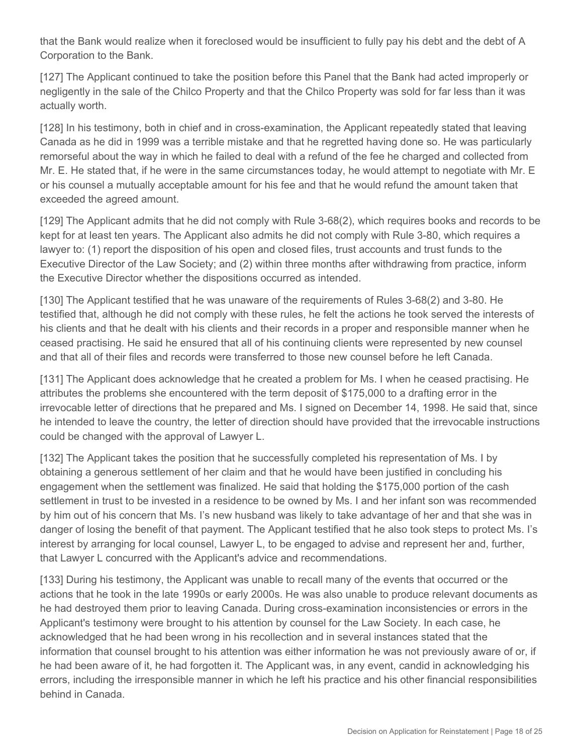that the Bank would realize when it foreclosed would be insufficient to fully pay his debt and the debt of A Corporation to the Bank.

[127] The Applicant continued to take the position before this Panel that the Bank had acted improperly or negligently in the sale of the Chilco Property and that the Chilco Property was sold for far less than it was actually worth.

[128] In his testimony, both in chief and in cross-examination, the Applicant repeatedly stated that leaving Canada as he did in 1999 was a terrible mistake and that he regretted having done so. He was particularly remorseful about the way in which he failed to deal with a refund of the fee he charged and collected from Mr. E. He stated that, if he were in the same circumstances today, he would attempt to negotiate with Mr. E or his counsel a mutually acceptable amount for his fee and that he would refund the amount taken that exceeded the agreed amount.

[129] The Applicant admits that he did not comply with Rule 3-68(2), which requires books and records to be kept for at least ten years. The Applicant also admits he did not comply with Rule 3-80, which requires a lawyer to: (1) report the disposition of his open and closed files, trust accounts and trust funds to the Executive Director of the Law Society; and (2) within three months after withdrawing from practice, inform the Executive Director whether the dispositions occurred as intended.

[130] The Applicant testified that he was unaware of the requirements of Rules 3-68(2) and 3-80. He testified that, although he did not comply with these rules, he felt the actions he took served the interests of his clients and that he dealt with his clients and their records in a proper and responsible manner when he ceased practising. He said he ensured that all of his continuing clients were represented by new counsel and that all of their files and records were transferred to those new counsel before he left Canada.

[131] The Applicant does acknowledge that he created a problem for Ms. I when he ceased practising. He attributes the problems she encountered with the term deposit of \$175,000 to a drafting error in the irrevocable letter of directions that he prepared and Ms. I signed on December 14, 1998. He said that, since he intended to leave the country, the letter of direction should have provided that the irrevocable instructions could be changed with the approval of Lawyer L.

[132] The Applicant takes the position that he successfully completed his representation of Ms. I by obtaining a generous settlement of her claim and that he would have been justified in concluding his engagement when the settlement was finalized. He said that holding the \$175,000 portion of the cash settlement in trust to be invested in a residence to be owned by Ms. I and her infant son was recommended by him out of his concern that Ms. I's new husband was likely to take advantage of her and that she was in danger of losing the benefit of that payment. The Applicant testified that he also took steps to protect Ms. I's interest by arranging for local counsel, Lawyer L, to be engaged to advise and represent her and, further, that Lawyer L concurred with the Applicant's advice and recommendations.

[133] During his testimony, the Applicant was unable to recall many of the events that occurred or the actions that he took in the late 1990s or early 2000s. He was also unable to produce relevant documents as he had destroyed them prior to leaving Canada. During cross-examination inconsistencies or errors in the Applicant's testimony were brought to his attention by counsel for the Law Society. In each case, he acknowledged that he had been wrong in his recollection and in several instances stated that the information that counsel brought to his attention was either information he was not previously aware of or, if he had been aware of it, he had forgotten it. The Applicant was, in any event, candid in acknowledging his errors, including the irresponsible manner in which he left his practice and his other financial responsibilities behind in Canada.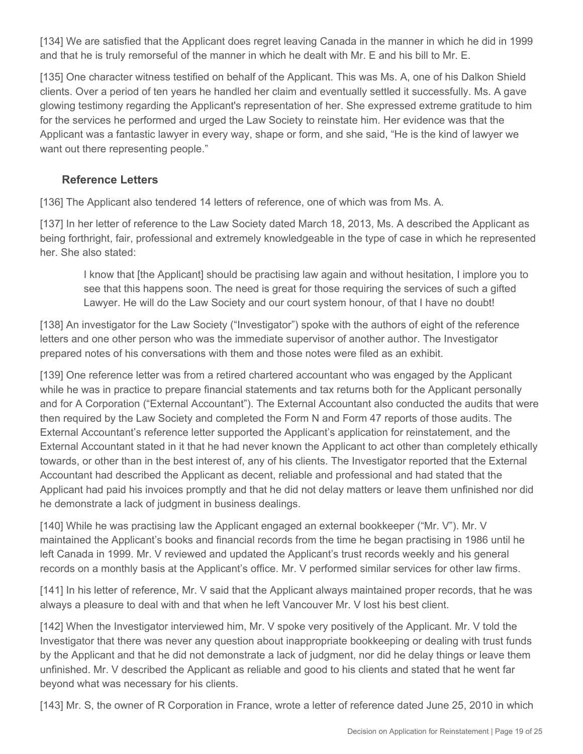[134] We are satisfied that the Applicant does regret leaving Canada in the manner in which he did in 1999 and that he is truly remorseful of the manner in which he dealt with Mr. E and his bill to Mr. E.

[135] One character witness testified on behalf of the Applicant. This was Ms. A, one of his Dalkon Shield clients. Over a period of ten years he handled her claim and eventually settled it successfully. Ms. A gave glowing testimony regarding the Applicant's representation of her. She expressed extreme gratitude to him for the services he performed and urged the Law Society to reinstate him. Her evidence was that the Applicant was a fantastic lawyer in every way, shape or form, and she said, "He is the kind of lawyer we want out there representing people."

### **Reference Letters**

[136] The Applicant also tendered 14 letters of reference, one of which was from Ms. A.

[137] In her letter of reference to the Law Society dated March 18, 2013, Ms. A described the Applicant as being forthright, fair, professional and extremely knowledgeable in the type of case in which he represented her. She also stated:

I know that [the Applicant] should be practising law again and without hesitation, I implore you to see that this happens soon. The need is great for those requiring the services of such a gifted Lawyer. He will do the Law Society and our court system honour, of that I have no doubt!

[138] An investigator for the Law Society ("Investigator") spoke with the authors of eight of the reference letters and one other person who was the immediate supervisor of another author. The Investigator prepared notes of his conversations with them and those notes were filed as an exhibit.

[139] One reference letter was from a retired chartered accountant who was engaged by the Applicant while he was in practice to prepare financial statements and tax returns both for the Applicant personally and for A Corporation ("External Accountant"). The External Accountant also conducted the audits that were then required by the Law Society and completed the Form N and Form 47 reports of those audits. The External Accountant's reference letter supported the Applicant's application for reinstatement, and the External Accountant stated in it that he had never known the Applicant to act other than completely ethically towards, or other than in the best interest of, any of his clients. The Investigator reported that the External Accountant had described the Applicant as decent, reliable and professional and had stated that the Applicant had paid his invoices promptly and that he did not delay matters or leave them unfinished nor did he demonstrate a lack of judgment in business dealings.

[140] While he was practising law the Applicant engaged an external bookkeeper ("Mr. V"). Mr. V maintained the Applicant's books and financial records from the time he began practising in 1986 until he left Canada in 1999. Mr. V reviewed and updated the Applicant's trust records weekly and his general records on a monthly basis at the Applicant's office. Mr. V performed similar services for other law firms.

[141] In his letter of reference, Mr. V said that the Applicant always maintained proper records, that he was always a pleasure to deal with and that when he left Vancouver Mr. V lost his best client.

[142] When the Investigator interviewed him, Mr. V spoke very positively of the Applicant. Mr. V told the Investigator that there was never any question about inappropriate bookkeeping or dealing with trust funds by the Applicant and that he did not demonstrate a lack of judgment, nor did he delay things or leave them unfinished. Mr. V described the Applicant as reliable and good to his clients and stated that he went far beyond what was necessary for his clients.

[143] Mr. S, the owner of R Corporation in France, wrote a letter of reference dated June 25, 2010 in which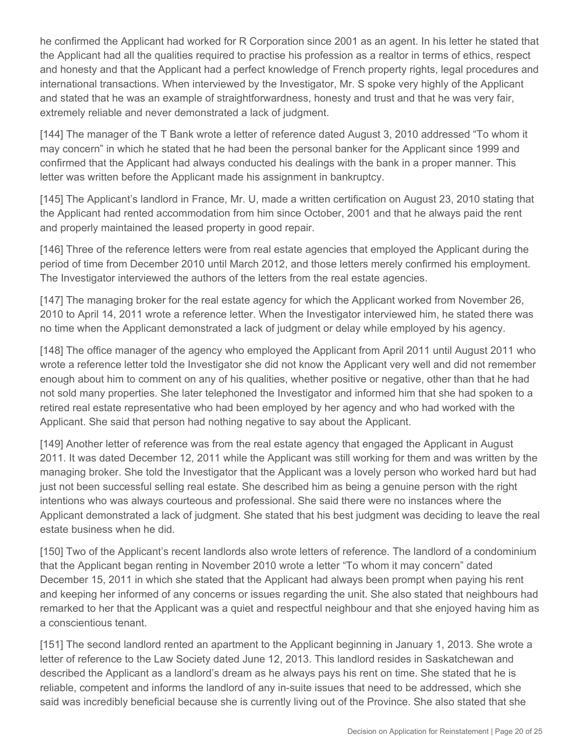he confirmed the Applicant had worked for R Corporation since 2001 as an agent. In his letter he stated that the Applicant had all the qualities required to practise his profession as a realtor in terms of ethics, respect and honesty and that the Applicant had a perfect knowledge of French property rights, legal procedures and international transactions. When interviewed by the Investigator, Mr. S spoke very highly of the Applicant and stated that he was an example of straightforwardness, honesty and trust and that he was very fair, extremely reliable and never demonstrated a lack of judgment.

[144] The manager of the T Bank wrote a letter of reference dated August 3, 2010 addressed "To whom it may concern" in which he stated that he had been the personal banker for the Applicant since 1999 and confirmed that the Applicant had always conducted his dealings with the bank in a proper manner. This letter was written before the Applicant made his assignment in bankruptcy.

[145] The Applicant's landlord in France, Mr. U, made a written certification on August 23, 2010 stating that the Applicant had rented accommodation from him since October, 2001 and that he always paid the rent and properly maintained the leased property in good repair.

[146] Three of the reference letters were from real estate agencies that employed the Applicant during the period of time from December 2010 until March 2012, and those letters merely confirmed his employment. The Investigator interviewed the authors of the letters from the real estate agencies.

[147] The managing broker for the real estate agency for which the Applicant worked from November 26, 2010 to April 14, 2011 wrote a reference letter. When the Investigator interviewed him, he stated there was no time when the Applicant demonstrated a lack of judgment or delay while employed by his agency.

[148] The office manager of the agency who employed the Applicant from April 2011 until August 2011 who wrote a reference letter told the Investigator she did not know the Applicant very well and did not remember enough about him to comment on any of his qualities, whether positive or negative, other than that he had not sold many properties. She later telephoned the Investigator and informed him that she had spoken to a retired real estate representative who had been employed by her agency and who had worked with the Applicant. She said that person had nothing negative to say about the Applicant.

[149] Another letter of reference was from the real estate agency that engaged the Applicant in August 2011. It was dated December 12, 2011 while the Applicant was still working for them and was written by the managing broker. She told the Investigator that the Applicant was a lovely person who worked hard but had just not been successful selling real estate. She described him as being a genuine person with the right intentions who was always courteous and professional. She said there were no instances where the Applicant demonstrated a lack of judgment. She stated that his best judgment was deciding to leave the real estate business when he did.

[150] Two of the Applicant's recent landlords also wrote letters of reference. The landlord of a condominium that the Applicant began renting in November 2010 wrote a letter "To whom it may concern" dated December 15, 2011 in which she stated that the Applicant had always been prompt when paying his rent and keeping her informed of any concerns or issues regarding the unit. She also stated that neighbours had remarked to her that the Applicant was a quiet and respectful neighbour and that she enjoyed having him as a conscientious tenant.

[151] The second landlord rented an apartment to the Applicant beginning in January 1, 2013. She wrote a letter of reference to the Law Society dated June 12, 2013. This landlord resides in Saskatchewan and described the Applicant as a landlord's dream as he always pays his rent on time. She stated that he is reliable, competent and informs the landlord of any in-suite issues that need to be addressed, which she said was incredibly beneficial because she is currently living out of the Province. She also stated that she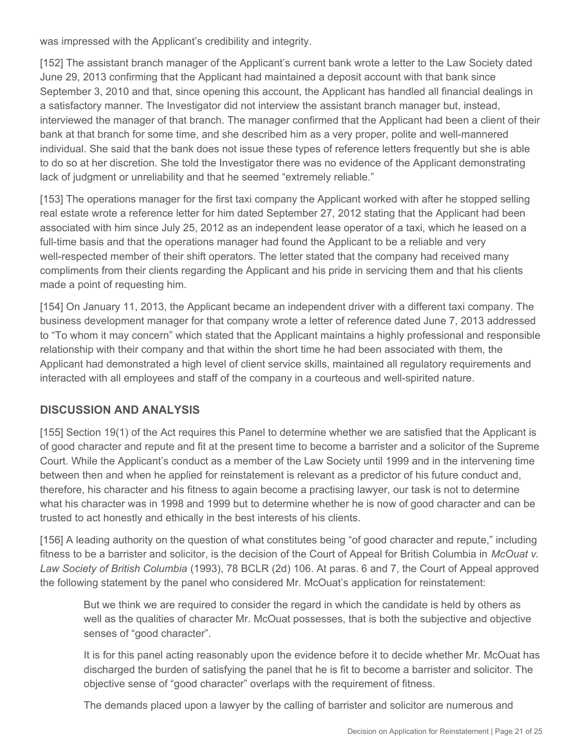was impressed with the Applicant's credibility and integrity.

[152] The assistant branch manager of the Applicant's current bank wrote a letter to the Law Society dated June 29, 2013 confirming that the Applicant had maintained a deposit account with that bank since September 3, 2010 and that, since opening this account, the Applicant has handled all financial dealings in a satisfactory manner. The Investigator did not interview the assistant branch manager but, instead, interviewed the manager of that branch. The manager confirmed that the Applicant had been a client of their bank at that branch for some time, and she described him as a very proper, polite and well-mannered individual. She said that the bank does not issue these types of reference letters frequently but she is able to do so at her discretion. She told the Investigator there was no evidence of the Applicant demonstrating lack of judgment or unreliability and that he seemed "extremely reliable."

[153] The operations manager for the first taxi company the Applicant worked with after he stopped selling real estate wrote a reference letter for him dated September 27, 2012 stating that the Applicant had been associated with him since July 25, 2012 as an independent lease operator of a taxi, which he leased on a full-time basis and that the operations manager had found the Applicant to be a reliable and very well-respected member of their shift operators. The letter stated that the company had received many compliments from their clients regarding the Applicant and his pride in servicing them and that his clients made a point of requesting him.

[154] On January 11, 2013, the Applicant became an independent driver with a different taxi company. The business development manager for that company wrote a letter of reference dated June 7, 2013 addressed to "To whom it may concern" which stated that the Applicant maintains a highly professional and responsible relationship with their company and that within the short time he had been associated with them, the Applicant had demonstrated a high level of client service skills, maintained all regulatory requirements and interacted with all employees and staff of the company in a courteous and well-spirited nature.

# **DISCUSSION AND ANALYSIS**

[155] Section 19(1) of the Act requires this Panel to determine whether we are satisfied that the Applicant is of good character and repute and fit at the present time to become a barrister and a solicitor of the Supreme Court. While the Applicant's conduct as a member of the Law Society until 1999 and in the intervening time between then and when he applied for reinstatement is relevant as a predictor of his future conduct and, therefore, his character and his fitness to again become a practising lawyer, our task is not to determine what his character was in 1998 and 1999 but to determine whether he is now of good character and can be trusted to act honestly and ethically in the best interests of his clients.

[156] A leading authority on the question of what constitutes being "of good character and repute," including fitness to be a barrister and solicitor, is the decision of the Court of Appeal for British Columbia in *McOuat v. Law Society of British Columbia* (1993), 78 BCLR (2d) 106. At paras. 6 and 7, the Court of Appeal approved the following statement by the panel who considered Mr. McOuat's application for reinstatement:

But we think we are required to consider the regard in which the candidate is held by others as well as the qualities of character Mr. McOuat possesses, that is both the subjective and objective senses of "good character".

It is for this panel acting reasonably upon the evidence before it to decide whether Mr. McOuat has discharged the burden of satisfying the panel that he is fit to become a barrister and solicitor. The objective sense of "good character" overlaps with the requirement of fitness.

The demands placed upon a lawyer by the calling of barrister and solicitor are numerous and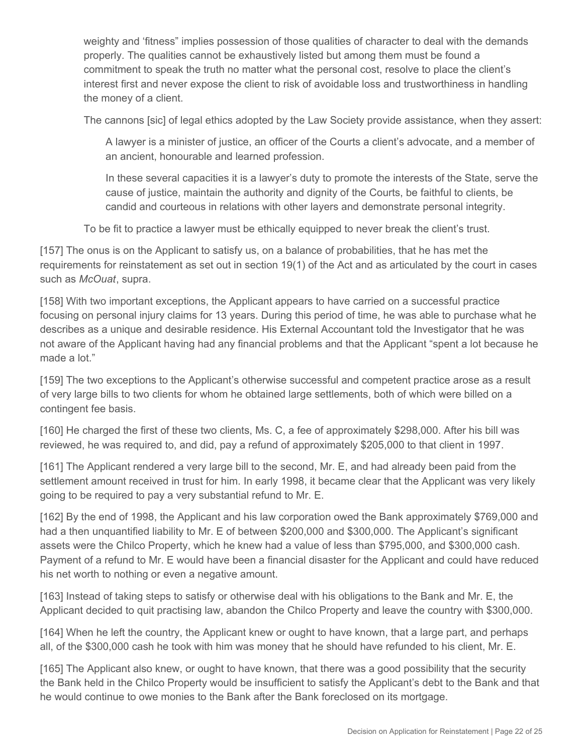weighty and 'fitness" implies possession of those qualities of character to deal with the demands properly. The qualities cannot be exhaustively listed but among them must be found a commitment to speak the truth no matter what the personal cost, resolve to place the client's interest first and never expose the client to risk of avoidable loss and trustworthiness in handling the money of a client.

The cannons [sic] of legal ethics adopted by the Law Society provide assistance, when they assert:

A lawyer is a minister of justice, an officer of the Courts a client's advocate, and a member of an ancient, honourable and learned profession.

In these several capacities it is a lawyer's duty to promote the interests of the State, serve the cause of justice, maintain the authority and dignity of the Courts, be faithful to clients, be candid and courteous in relations with other layers and demonstrate personal integrity.

To be fit to practice a lawyer must be ethically equipped to never break the client's trust.

[157] The onus is on the Applicant to satisfy us, on a balance of probabilities, that he has met the requirements for reinstatement as set out in section 19(1) of the Act and as articulated by the court in cases such as *McOuat*, supra.

[158] With two important exceptions, the Applicant appears to have carried on a successful practice focusing on personal injury claims for 13 years. During this period of time, he was able to purchase what he describes as a unique and desirable residence. His External Accountant told the Investigator that he was not aware of the Applicant having had any financial problems and that the Applicant "spent a lot because he made a lot."

[159] The two exceptions to the Applicant's otherwise successful and competent practice arose as a result of very large bills to two clients for whom he obtained large settlements, both of which were billed on a contingent fee basis.

[160] He charged the first of these two clients, Ms. C, a fee of approximately \$298,000. After his bill was reviewed, he was required to, and did, pay a refund of approximately \$205,000 to that client in 1997.

[161] The Applicant rendered a very large bill to the second, Mr. E, and had already been paid from the settlement amount received in trust for him. In early 1998, it became clear that the Applicant was very likely going to be required to pay a very substantial refund to Mr. E.

[162] By the end of 1998, the Applicant and his law corporation owed the Bank approximately \$769,000 and had a then unquantified liability to Mr. E of between \$200,000 and \$300,000. The Applicant's significant assets were the Chilco Property, which he knew had a value of less than \$795,000, and \$300,000 cash. Payment of a refund to Mr. E would have been a financial disaster for the Applicant and could have reduced his net worth to nothing or even a negative amount.

[163] Instead of taking steps to satisfy or otherwise deal with his obligations to the Bank and Mr. E, the Applicant decided to quit practising law, abandon the Chilco Property and leave the country with \$300,000.

[164] When he left the country, the Applicant knew or ought to have known, that a large part, and perhaps all, of the \$300,000 cash he took with him was money that he should have refunded to his client, Mr. E.

[165] The Applicant also knew, or ought to have known, that there was a good possibility that the security the Bank held in the Chilco Property would be insufficient to satisfy the Applicant's debt to the Bank and that he would continue to owe monies to the Bank after the Bank foreclosed on its mortgage.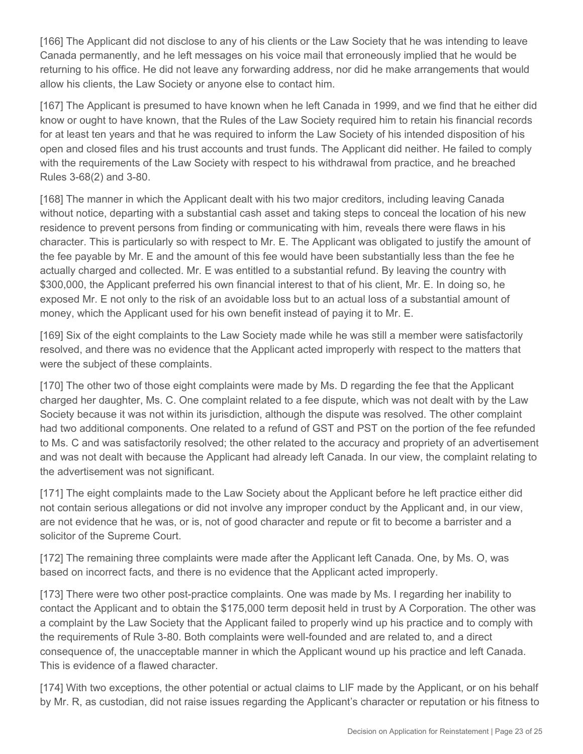[166] The Applicant did not disclose to any of his clients or the Law Society that he was intending to leave Canada permanently, and he left messages on his voice mail that erroneously implied that he would be returning to his office. He did not leave any forwarding address, nor did he make arrangements that would allow his clients, the Law Society or anyone else to contact him.

[167] The Applicant is presumed to have known when he left Canada in 1999, and we find that he either did know or ought to have known, that the Rules of the Law Society required him to retain his financial records for at least ten years and that he was required to inform the Law Society of his intended disposition of his open and closed files and his trust accounts and trust funds. The Applicant did neither. He failed to comply with the requirements of the Law Society with respect to his withdrawal from practice, and he breached Rules 3-68(2) and 3-80.

[168] The manner in which the Applicant dealt with his two major creditors, including leaving Canada without notice, departing with a substantial cash asset and taking steps to conceal the location of his new residence to prevent persons from finding or communicating with him, reveals there were flaws in his character. This is particularly so with respect to Mr. E. The Applicant was obligated to justify the amount of the fee payable by Mr. E and the amount of this fee would have been substantially less than the fee he actually charged and collected. Mr. E was entitled to a substantial refund. By leaving the country with \$300,000, the Applicant preferred his own financial interest to that of his client, Mr. E. In doing so, he exposed Mr. E not only to the risk of an avoidable loss but to an actual loss of a substantial amount of money, which the Applicant used for his own benefit instead of paying it to Mr. E.

[169] Six of the eight complaints to the Law Society made while he was still a member were satisfactorily resolved, and there was no evidence that the Applicant acted improperly with respect to the matters that were the subject of these complaints.

[170] The other two of those eight complaints were made by Ms. D regarding the fee that the Applicant charged her daughter, Ms. C. One complaint related to a fee dispute, which was not dealt with by the Law Society because it was not within its jurisdiction, although the dispute was resolved. The other complaint had two additional components. One related to a refund of GST and PST on the portion of the fee refunded to Ms. C and was satisfactorily resolved; the other related to the accuracy and propriety of an advertisement and was not dealt with because the Applicant had already left Canada. In our view, the complaint relating to the advertisement was not significant.

[171] The eight complaints made to the Law Society about the Applicant before he left practice either did not contain serious allegations or did not involve any improper conduct by the Applicant and, in our view, are not evidence that he was, or is, not of good character and repute or fit to become a barrister and a solicitor of the Supreme Court.

[172] The remaining three complaints were made after the Applicant left Canada. One, by Ms. O, was based on incorrect facts, and there is no evidence that the Applicant acted improperly.

[173] There were two other post-practice complaints. One was made by Ms. I regarding her inability to contact the Applicant and to obtain the \$175,000 term deposit held in trust by A Corporation. The other was a complaint by the Law Society that the Applicant failed to properly wind up his practice and to comply with the requirements of Rule 3-80. Both complaints were well-founded and are related to, and a direct consequence of, the unacceptable manner in which the Applicant wound up his practice and left Canada. This is evidence of a flawed character.

[174] With two exceptions, the other potential or actual claims to LIF made by the Applicant, or on his behalf by Mr. R, as custodian, did not raise issues regarding the Applicant's character or reputation or his fitness to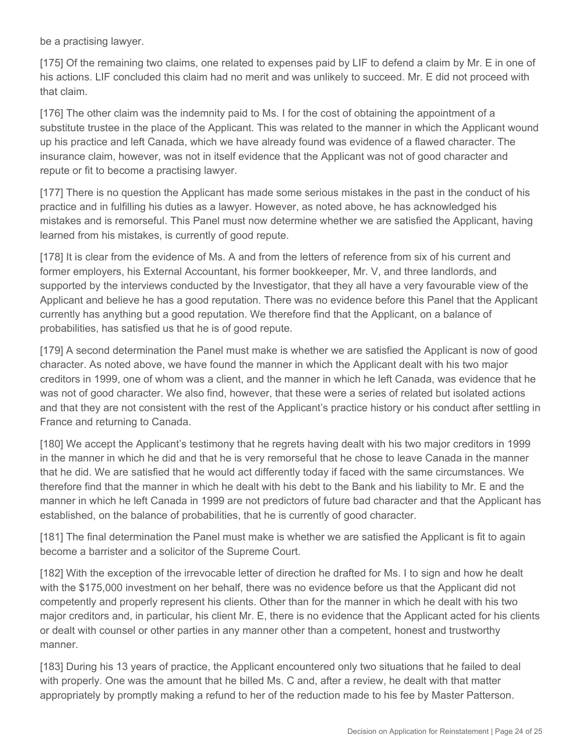be a practising lawyer.

[175] Of the remaining two claims, one related to expenses paid by LIF to defend a claim by Mr. E in one of his actions. LIF concluded this claim had no merit and was unlikely to succeed. Mr. E did not proceed with that claim.

[176] The other claim was the indemnity paid to Ms. I for the cost of obtaining the appointment of a substitute trustee in the place of the Applicant. This was related to the manner in which the Applicant wound up his practice and left Canada, which we have already found was evidence of a flawed character. The insurance claim, however, was not in itself evidence that the Applicant was not of good character and repute or fit to become a practising lawyer.

[177] There is no question the Applicant has made some serious mistakes in the past in the conduct of his practice and in fulfilling his duties as a lawyer. However, as noted above, he has acknowledged his mistakes and is remorseful. This Panel must now determine whether we are satisfied the Applicant, having learned from his mistakes, is currently of good repute.

[178] It is clear from the evidence of Ms. A and from the letters of reference from six of his current and former employers, his External Accountant, his former bookkeeper, Mr. V, and three landlords, and supported by the interviews conducted by the Investigator, that they all have a very favourable view of the Applicant and believe he has a good reputation. There was no evidence before this Panel that the Applicant currently has anything but a good reputation. We therefore find that the Applicant, on a balance of probabilities, has satisfied us that he is of good repute.

[179] A second determination the Panel must make is whether we are satisfied the Applicant is now of good character. As noted above, we have found the manner in which the Applicant dealt with his two major creditors in 1999, one of whom was a client, and the manner in which he left Canada, was evidence that he was not of good character. We also find, however, that these were a series of related but isolated actions and that they are not consistent with the rest of the Applicant's practice history or his conduct after settling in France and returning to Canada.

[180] We accept the Applicant's testimony that he regrets having dealt with his two major creditors in 1999 in the manner in which he did and that he is very remorseful that he chose to leave Canada in the manner that he did. We are satisfied that he would act differently today if faced with the same circumstances. We therefore find that the manner in which he dealt with his debt to the Bank and his liability to Mr. E and the manner in which he left Canada in 1999 are not predictors of future bad character and that the Applicant has established, on the balance of probabilities, that he is currently of good character.

[181] The final determination the Panel must make is whether we are satisfied the Applicant is fit to again become a barrister and a solicitor of the Supreme Court.

[182] With the exception of the irrevocable letter of direction he drafted for Ms. I to sign and how he dealt with the \$175,000 investment on her behalf, there was no evidence before us that the Applicant did not competently and properly represent his clients. Other than for the manner in which he dealt with his two major creditors and, in particular, his client Mr. E, there is no evidence that the Applicant acted for his clients or dealt with counsel or other parties in any manner other than a competent, honest and trustworthy manner.

[183] During his 13 years of practice, the Applicant encountered only two situations that he failed to deal with properly. One was the amount that he billed Ms. C and, after a review, he dealt with that matter appropriately by promptly making a refund to her of the reduction made to his fee by Master Patterson.